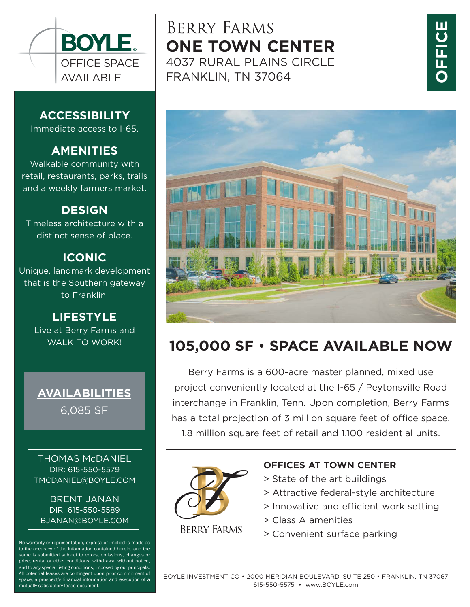

# **ACCESSIBILITY**

Immediate access to I-65.

## **AMENITIES**

Walkable community with retail, restaurants, parks, trails and a weekly farmers market.

#### **DESIGN**

Timeless architecture with a distinct sense of place.

### **ICONIC**

Unique, landmark development that is the Southern gateway to Franklin.

### **LIFESTYLE**

Live at Berry Farms and

# **AVAILABILITIES** 6,085 SF

THOMAS McDANIEL DIR: 615-550-5579 TMCDANIEL@BOYLE.COM

BRENT JANAN DIR: 615-550-5589 BJANAN@BOYLE.COM

No warranty or representation, express or implied is made as to the accuracy of the information contained herein, and the same is submitted subject to errors, omissions, changes or price, rental or other conditions, withdrawal without notice, and to any special listing conditions, imposed by our principals. All potential leases are contingent upon prior commitment of space, a prospect's financial information and execution of a mutually satisfactory lease document.

Berry Farms **ONE TOWN CENTER** 4037 RURAL PLAINS CIRCLE FRANKLIN, TN 37064



# WALK TO WORK! **105,000 SF** • **SPACE AVAILABLE NOW**

Berry Farms is a 600-acre master planned, mixed use project conveniently located at the I-65 / Peytonsville Road interchange in Franklin, Tenn. Upon completion, Berry Farms has a total projection of 3 million square feet of office space, 1.8 million square feet of retail and 1,100 residential units.



#### **OFFICES AT TOWN CENTER**

- > State of the art buildings
- > Attractive federal-style architecture
- > Innovative and efficient work setting
- > Class A amenities
- > Convenient surface parking

BOYLE INVESTMENT CO • 2000 MERIDIAN BOULEVARD, SUITE 250 • FRANKLIN, TN 37067 615-550-5575 • www.BOYLE.com